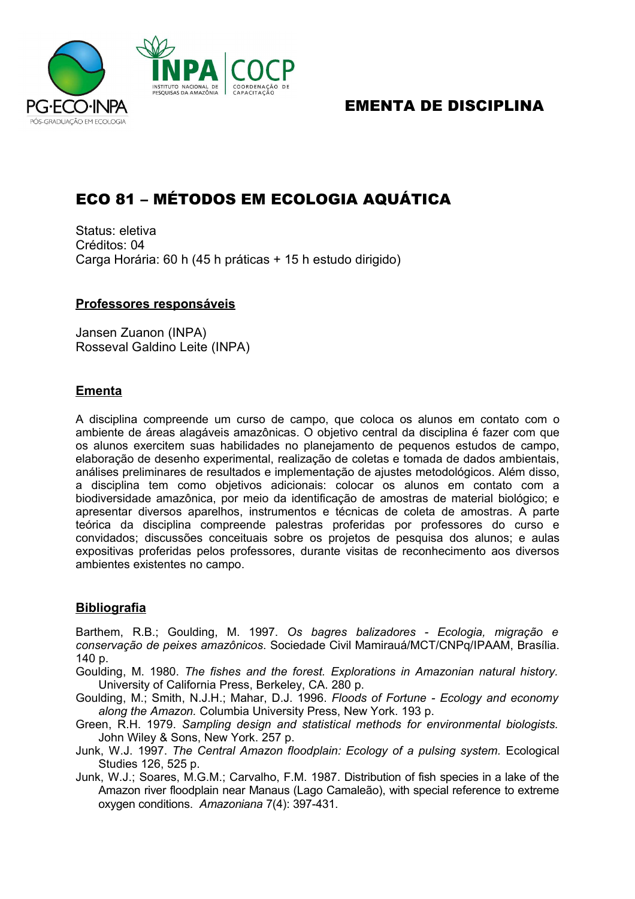

# EMENTA DE DISCIPLINA

# ECO 81 – MÉTODOS EM ECOLOGIA AQUÁTICA

Status: eletiva Créditos: 04 Carga Horária: 60 h (45 h práticas + 15 h estudo dirigido)

#### **Professores responsáveis**

Jansen Zuanon (INPA) Rosseval Galdino Leite (INPA)

## **Ementa**

A disciplina compreende um curso de campo, que coloca os alunos em contato com o ambiente de áreas alagáveis amazônicas. O objetivo central da disciplina é fazer com que os alunos exercitem suas habilidades no planejamento de pequenos estudos de campo, elaboração de desenho experimental, realização de coletas e tomada de dados ambientais, análises preliminares de resultados e implementação de ajustes metodológicos. Além disso, a disciplina tem como objetivos adicionais: colocar os alunos em contato com a biodiversidade amazônica, por meio da identificação de amostras de material biológico; e apresentar diversos aparelhos, instrumentos e técnicas de coleta de amostras. A parte teórica da disciplina compreende palestras proferidas por professores do curso e convidados; discussões conceituais sobre os projetos de pesquisa dos alunos; e aulas expositivas proferidas pelos professores, durante visitas de reconhecimento aos diversos ambientes existentes no campo.

## **Bibliografia**

Barthem, R.B.; Goulding, M. 1997. *Os bagres balizadores - Ecologia, migração e conservação de peixes amazônicos*. Sociedade Civil Mamirauá/MCT/CNPq/IPAAM, Brasília. 140 p.

Goulding, M. 1980. *The fishes and the forest. Explorations in Amazonian natural history.* University of California Press, Berkeley, CA. 280 p.

Goulding, M.; Smith, N.J.H.; Mahar, D.J. 1996. *Floods of Fortune - Ecology and economy along the Amazon.* Columbia University Press, New York. 193 p.

Green, R.H. 1979. *Sampling design and statistical methods for environmental biologists.* John Wiley & Sons, New York. 257 p.

Junk, W.J. 1997. *The Central Amazon floodplain: Ecology of a pulsing system.* Ecological Studies 126, 525 p.

Junk, W.J.; Soares, M.G.M.; Carvalho, F.M. 1987. Distribution of fish species in a lake of the Amazon river floodplain near Manaus (Lago Camaleão), with special reference to extreme oxygen conditions. *Amazoniana* 7(4): 397-431.